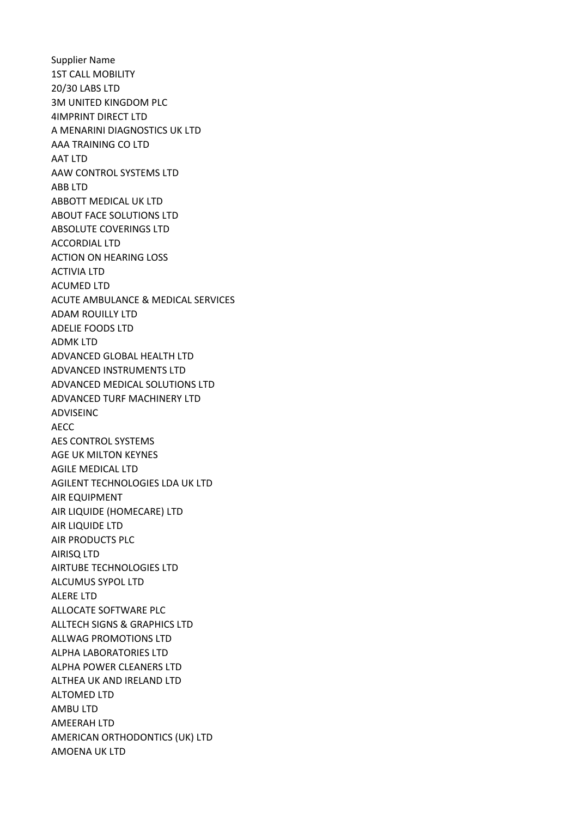Supplier Name 1ST CALL MOBILITY 20/30 LABS LTD 3M UNITED KINGDOM PLC 4IMPRINT DIRECT LTD A MENARINI DIAGNOSTICS UK LTD AAA TRAINING CO LTD AAT LTD AAW CONTROL SYSTEMS LTD ABB LTD ABBOTT MEDICAL UK LTD ABOUT FACE SOLUTIONS LTD ABSOLUTE COVERINGS LTD ACCORDIAL LTD ACTION ON HEARING LOSS ACTIVIA LTD ACUMED LTD ACUTE AMBULANCE & MEDICAL SERVICES ADAM ROUILLY LTD ADELIE FOODS LTD ADMK LTD ADVANCED GLOBAL HEALTH LTD ADVANCED INSTRUMENTS LTD ADVANCED MEDICAL SOLUTIONS LTD ADVANCED TURF MACHINERY LTD ADVISEINC AECC AES CONTROL SYSTEMS AGE UK MILTON KEYNES AGILE MEDICAL LTD AGILENT TECHNOLOGIES LDA UK LTD AIR EQUIPMENT AIR LIQUIDE (HOMECARE) LTD AIR LIQUIDE LTD AIR PRODUCTS PLC AIRISQ LTD AIRTUBE TECHNOLOGIES LTD ALCUMUS SYPOL LTD ALERE LTD ALLOCATE SOFTWARE PLC ALLTECH SIGNS & GRAPHICS LTD ALLWAG PROMOTIONS LTD ALPHA LABORATORIES LTD ALPHA POWER CLEANERS LTD ALTHEA UK AND IRELAND LTD ALTOMED LTD AMBU LTD AMEERAH LTD AMERICAN ORTHODONTICS (UK) LTD AMOENA UK LTD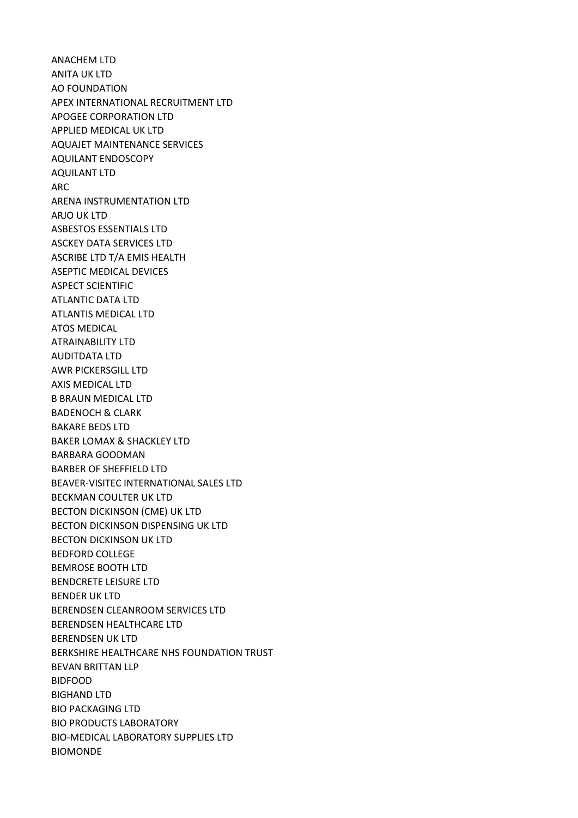ANACHEM LTD ANITA UK LTD AO FOUNDATION APEX INTERNATIONAL RECRUITMENT LTD APOGEE CORPORATION LTD APPLIED MEDICAL UK LTD AQUAJET MAINTENANCE SERVICES AQUILANT ENDOSCOPY AQUILANT LTD ARC ARENA INSTRUMENTATION LTD ARJO UK LTD ASBESTOS ESSENTIALS LTD ASCKEY DATA SERVICES LTD ASCRIBE LTD T/A EMIS HEALTH ASEPTIC MEDICAL DEVICES ASPECT SCIENTIFIC ATLANTIC DATA LTD ATLANTIS MEDICAL LTD ATOS MEDICAL ATRAINABILITY LTD AUDITDATA LTD AWR PICKERSGILL LTD AXIS MEDICAL LTD B BRAUN MEDICAL LTD BADENOCH & CLARK BAKARE BEDS LTD BAKER LOMAX & SHACKLEY LTD BARBARA GOODMAN BARBER OF SHEFFIELD LTD BEAVER-VISITEC INTERNATIONAL SALES LTD BECKMAN COULTER UK LTD BECTON DICKINSON (CME) UK LTD BECTON DICKINSON DISPENSING UK LTD BECTON DICKINSON UK LTD BEDFORD COLLEGE BEMROSE BOOTH LTD BENDCRETE LEISURE LTD BENDER UK LTD BERENDSEN CLEANROOM SERVICES LTD BERENDSEN HEALTHCARE LTD BERENDSEN UK LTD BERKSHIRE HEALTHCARE NHS FOUNDATION TRUST BEVAN BRITTAN LLP BIDFOOD BIGHAND LTD BIO PACKAGING LTD BIO PRODUCTS LABORATORY BIO-MEDICAL LABORATORY SUPPLIES LTD BIOMONDE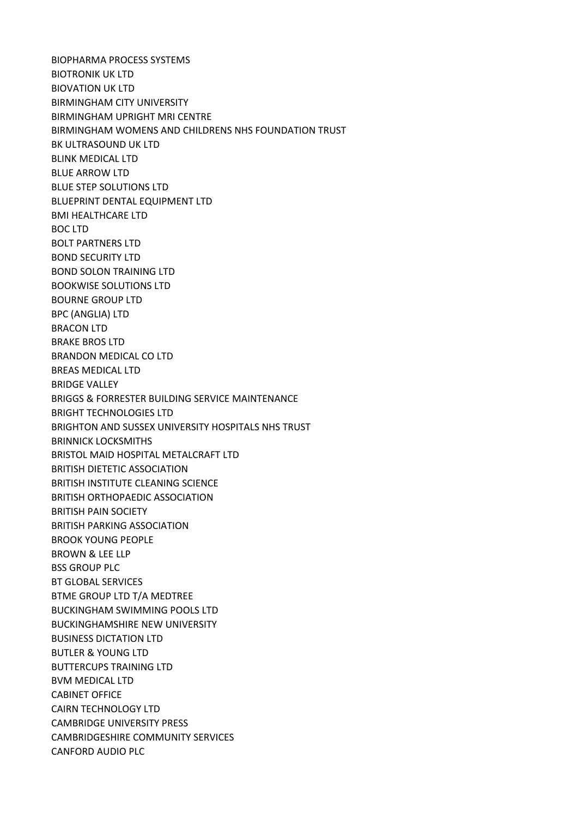BIOPHARMA PROCESS SYSTEMS BIOTRONIK UK LTD BIOVATION UK LTD BIRMINGHAM CITY UNIVERSITY BIRMINGHAM UPRIGHT MRI CENTRE BIRMINGHAM WOMENS AND CHILDRENS NHS FOUNDATION TRUST BK ULTRASOUND UK LTD BLINK MEDICAL LTD BLUE ARROW LTD BLUE STEP SOLUTIONS LTD BLUEPRINT DENTAL EQUIPMENT LTD BMI HEALTHCARE LTD BOC LTD BOLT PARTNERS LTD BOND SECURITY LTD BOND SOLON TRAINING LTD BOOKWISE SOLUTIONS LTD BOURNE GROUP LTD BPC (ANGLIA) LTD BRACON LTD BRAKE BROS LTD BRANDON MEDICAL CO LTD BREAS MEDICAL LTD BRIDGE VALLEY BRIGGS & FORRESTER BUILDING SERVICE MAINTENANCE BRIGHT TECHNOLOGIES LTD BRIGHTON AND SUSSEX UNIVERSITY HOSPITALS NHS TRUST BRINNICK LOCKSMITHS BRISTOL MAID HOSPITAL METALCRAFT LTD BRITISH DIETETIC ASSOCIATION BRITISH INSTITUTE CLEANING SCIENCE BRITISH ORTHOPAEDIC ASSOCIATION BRITISH PAIN SOCIETY BRITISH PARKING ASSOCIATION BROOK YOUNG PEOPLE BROWN & LEE LLP BSS GROUP PLC BT GLOBAL SERVICES BTME GROUP LTD T/A MEDTREE BUCKINGHAM SWIMMING POOLS LTD BUCKINGHAMSHIRE NEW UNIVERSITY BUSINESS DICTATION LTD BUTLER & YOUNG LTD BUTTERCUPS TRAINING LTD BVM MEDICAL LTD CABINET OFFICE CAIRN TECHNOLOGY LTD CAMBRIDGE UNIVERSITY PRESS CAMBRIDGESHIRE COMMUNITY SERVICES CANFORD AUDIO PLC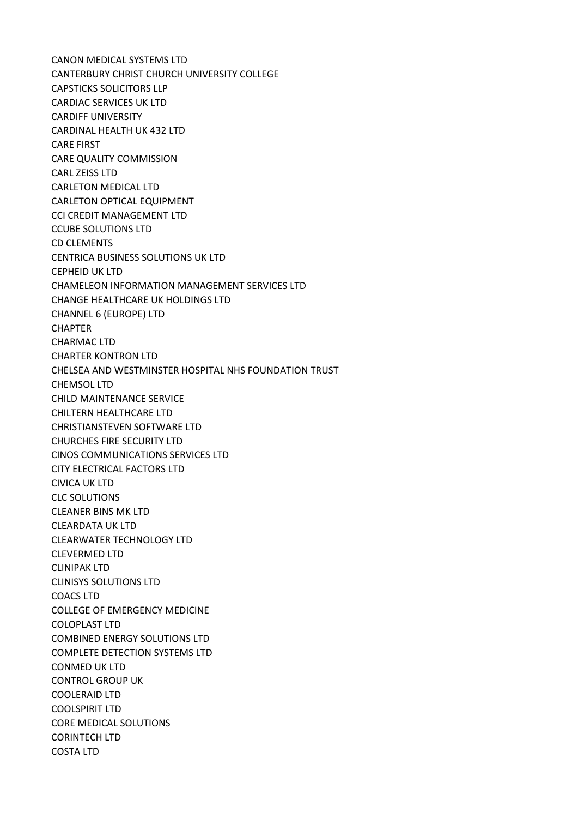CANON MEDICAL SYSTEMS LTD CANTERBURY CHRIST CHURCH UNIVERSITY COLLEGE CAPSTICKS SOLICITORS LLP CARDIAC SERVICES UK LTD CARDIFF UNIVERSITY CARDINAL HEALTH UK 432 LTD CARE FIRST CARE QUALITY COMMISSION CARL ZEISS LTD CARLETON MEDICAL LTD CARLETON OPTICAL EQUIPMENT CCI CREDIT MANAGEMENT LTD CCUBE SOLUTIONS LTD CD CLEMENTS CENTRICA BUSINESS SOLUTIONS UK LTD CEPHEID UK LTD CHAMELEON INFORMATION MANAGEMENT SERVICES LTD CHANGE HEALTHCARE UK HOLDINGS LTD CHANNEL 6 (EUROPE) LTD **CHAPTER** CHARMAC LTD CHARTER KONTRON LTD CHELSEA AND WESTMINSTER HOSPITAL NHS FOUNDATION TRUST CHEMSOL LTD CHILD MAINTENANCE SERVICE CHILTERN HEALTHCARE LTD CHRISTIANSTEVEN SOFTWARE LTD CHURCHES FIRE SECURITY LTD CINOS COMMUNICATIONS SERVICES LTD CITY ELECTRICAL FACTORS LTD CIVICA UK LTD CLC SOLUTIONS CLEANER BINS MK LTD CLEARDATA UK LTD CLEARWATER TECHNOLOGY LTD CLEVERMED LTD CLINIPAK LTD CLINISYS SOLUTIONS LTD COACS LTD COLLEGE OF EMERGENCY MEDICINE COLOPLAST LTD COMBINED ENERGY SOLUTIONS LTD COMPLETE DETECTION SYSTEMS LTD CONMED UK LTD CONTROL GROUP UK COOLERAID LTD COOLSPIRIT LTD CORE MEDICAL SOLUTIONS CORINTECH LTD COSTA LTD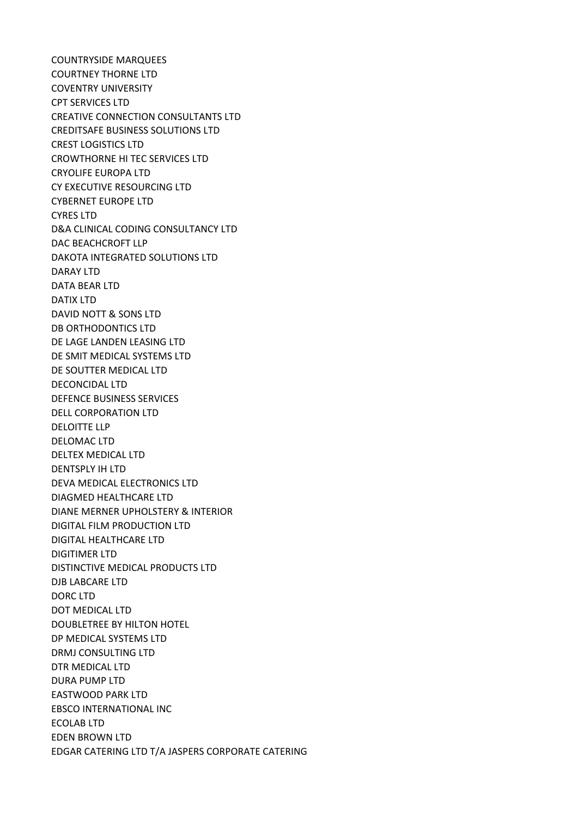COUNTRYSIDE MARQUEES COURTNEY THORNE LTD COVENTRY UNIVERSITY CPT SERVICES LTD CREATIVE CONNECTION CONSULTANTS LTD CREDITSAFE BUSINESS SOLUTIONS LTD CREST LOGISTICS LTD CROWTHORNE HI TEC SERVICES LTD CRYOLIFE EUROPA LTD CY EXECUTIVE RESOURCING LTD CYBERNET EUROPE LTD CYRES LTD D&A CLINICAL CODING CONSULTANCY LTD DAC BEACHCROFT LLP DAKOTA INTEGRATED SOLUTIONS LTD DARAY LTD DATA BEAR LTD DATIX LTD DAVID NOTT & SONS LTD DB ORTHODONTICS LTD DE LAGE LANDEN LEASING LTD DE SMIT MEDICAL SYSTEMS LTD DE SOUTTER MEDICAL LTD DECONCIDAL LTD DEFENCE BUSINESS SERVICES DELL CORPORATION LTD DELOITTE LLP DELOMAC LTD DELTEX MEDICAL LTD DENTSPLY IH LTD DEVA MEDICAL ELECTRONICS LTD DIAGMED HEALTHCARE LTD DIANE MERNER UPHOLSTERY & INTERIOR DIGITAL FILM PRODUCTION LTD DIGITAL HEALTHCARE LTD DIGITIMER LTD DISTINCTIVE MEDICAL PRODUCTS LTD DJB LABCARE LTD DORC LTD DOT MEDICAL LTD DOUBLETREE BY HILTON HOTEL DP MEDICAL SYSTEMS LTD DRMJ CONSULTING LTD DTR MEDICAL LTD DURA PUMP LTD EASTWOOD PARK LTD EBSCO INTERNATIONAL INC ECOLAB LTD EDEN BROWN LTD EDGAR CATERING LTD T/A JASPERS CORPORATE CATERING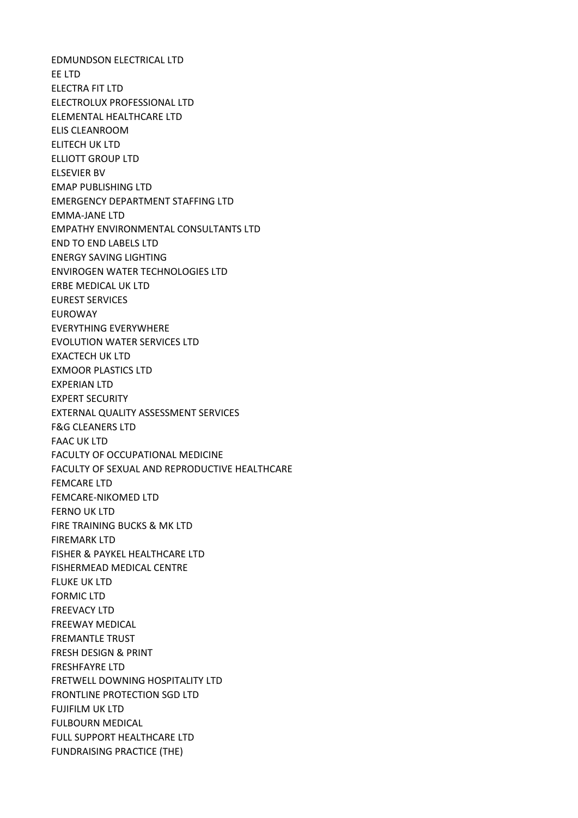EDMUNDSON ELECTRICAL LTD EE LTD ELECTRA FIT LTD ELECTROLUX PROFESSIONAL LTD ELEMENTAL HEALTHCARE LTD ELIS CLEANROOM ELITECH UK LTD ELLIOTT GROUP LTD ELSEVIER BV EMAP PUBLISHING LTD EMERGENCY DEPARTMENT STAFFING LTD EMMA-JANE LTD EMPATHY ENVIRONMENTAL CONSULTANTS LTD END TO END LABELS LTD ENERGY SAVING LIGHTING ENVIROGEN WATER TECHNOLOGIES LTD ERBE MEDICAL UK LTD EUREST SERVICES EUROWAY EVERYTHING EVERYWHERE EVOLUTION WATER SERVICES LTD EXACTECH UK LTD EXMOOR PLASTICS LTD EXPERIAN LTD EXPERT SECURITY EXTERNAL QUALITY ASSESSMENT SERVICES F&G CLEANERS LTD FAAC UK LTD FACULTY OF OCCUPATIONAL MEDICINE FACULTY OF SEXUAL AND REPRODUCTIVE HEALTHCARE FEMCARE LTD FEMCARE-NIKOMED LTD FERNO UK LTD FIRE TRAINING BUCKS & MK LTD FIREMARK LTD FISHER & PAYKEL HEALTHCARE LTD FISHERMEAD MEDICAL CENTRE FLUKE UK LTD FORMIC LTD FREEVACY LTD FREEWAY MEDICAL FREMANTLE TRUST FRESH DESIGN & PRINT FRESHFAYRE LTD FRETWELL DOWNING HOSPITALITY LTD FRONTLINE PROTECTION SGD LTD FUJIFILM UK LTD FULBOURN MEDICAL FULL SUPPORT HEALTHCARE LTD FUNDRAISING PRACTICE (THE)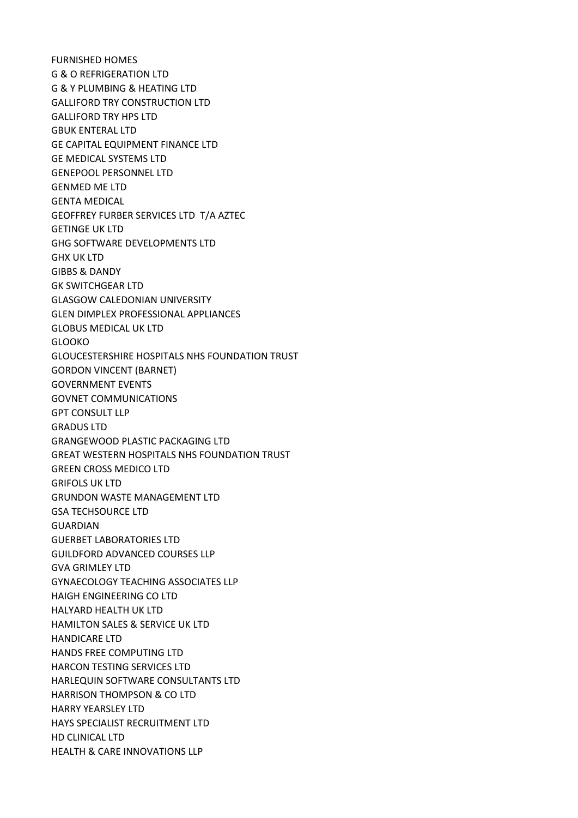FURNISHED HOMES G & O REFRIGERATION LTD G & Y PLUMBING & HEATING LTD GALLIFORD TRY CONSTRUCTION LTD GALLIFORD TRY HPS LTD GBUK ENTERAL LTD GE CAPITAL EQUIPMENT FINANCE LTD GE MEDICAL SYSTEMS LTD GENEPOOL PERSONNEL LTD GENMED ME LTD GENTA MEDICAL GEOFFREY FURBER SERVICES LTD T/A AZTEC GETINGE UK LTD GHG SOFTWARE DEVELOPMENTS LTD GHX UK LTD GIBBS & DANDY GK SWITCHGEAR LTD GLASGOW CALEDONIAN UNIVERSITY GLEN DIMPLEX PROFESSIONAL APPLIANCES GLOBUS MEDICAL UK LTD GLOOKO GLOUCESTERSHIRE HOSPITALS NHS FOUNDATION TRUST GORDON VINCENT (BARNET) GOVERNMENT EVENTS GOVNET COMMUNICATIONS GPT CONSULT LLP GRADUS LTD GRANGEWOOD PLASTIC PACKAGING LTD GREAT WESTERN HOSPITALS NHS FOUNDATION TRUST GREEN CROSS MEDICO LTD GRIFOLS UK LTD GRUNDON WASTE MANAGEMENT LTD GSA TECHSOURCE LTD GUARDIAN GUERBET LABORATORIES LTD GUILDFORD ADVANCED COURSES LLP GVA GRIMLEY LTD GYNAECOLOGY TEACHING ASSOCIATES LLP HAIGH ENGINEERING CO LTD HALYARD HEALTH UK LTD HAMILTON SALES & SERVICE UK LTD HANDICARE LTD HANDS FREE COMPUTING LTD HARCON TESTING SERVICES LTD HARLEQUIN SOFTWARE CONSULTANTS LTD HARRISON THOMPSON & CO LTD HARRY YEARSLEY LTD HAYS SPECIALIST RECRUITMENT LTD HD CLINICAL LTD HEALTH & CARE INNOVATIONS LLP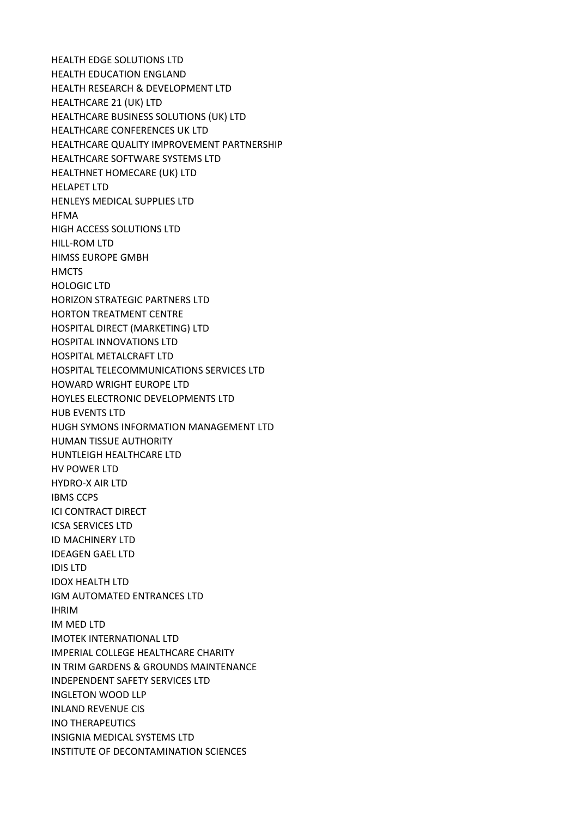HEALTH EDGE SOLUTIONS LTD HEALTH EDUCATION ENGLAND HEALTH RESEARCH & DEVELOPMENT LTD HEALTHCARE 21 (UK) LTD HEALTHCARE BUSINESS SOLUTIONS (UK) LTD HEALTHCARE CONFERENCES UK LTD HEALTHCARE QUALITY IMPROVEMENT PARTNERSHIP HEALTHCARE SOFTWARE SYSTEMS LTD HEALTHNET HOMECARE (UK) LTD HELAPET LTD HENLEYS MEDICAL SUPPLIES LTD HFMA HIGH ACCESS SOLUTIONS LTD HILL-ROM LTD HIMSS EUROPE GMBH **HMCTS** HOLOGIC LTD HORIZON STRATEGIC PARTNERS LTD HORTON TREATMENT CENTRE HOSPITAL DIRECT (MARKETING) LTD HOSPITAL INNOVATIONS LTD HOSPITAL METALCRAFT LTD HOSPITAL TELECOMMUNICATIONS SERVICES LTD HOWARD WRIGHT EUROPE LTD HOYLES ELECTRONIC DEVELOPMENTS LTD HUB EVENTS LTD HUGH SYMONS INFORMATION MANAGEMENT LTD HUMAN TISSUE AUTHORITY HUNTLEIGH HEALTHCARE LTD HV POWER LTD HYDRO-X AIR LTD IBMS CCPS ICI CONTRACT DIRECT ICSA SERVICES LTD ID MACHINERY LTD IDEAGEN GAEL LTD IDIS LTD IDOX HEALTH LTD IGM AUTOMATED ENTRANCES LTD IHRIM IM MED LTD IMOTEK INTERNATIONAL LTD IMPERIAL COLLEGE HEALTHCARE CHARITY IN TRIM GARDENS & GROUNDS MAINTENANCE INDEPENDENT SAFETY SERVICES LTD INGLETON WOOD LLP INLAND REVENUE CIS INO THERAPEUTICS INSIGNIA MEDICAL SYSTEMS LTD INSTITUTE OF DECONTAMINATION SCIENCES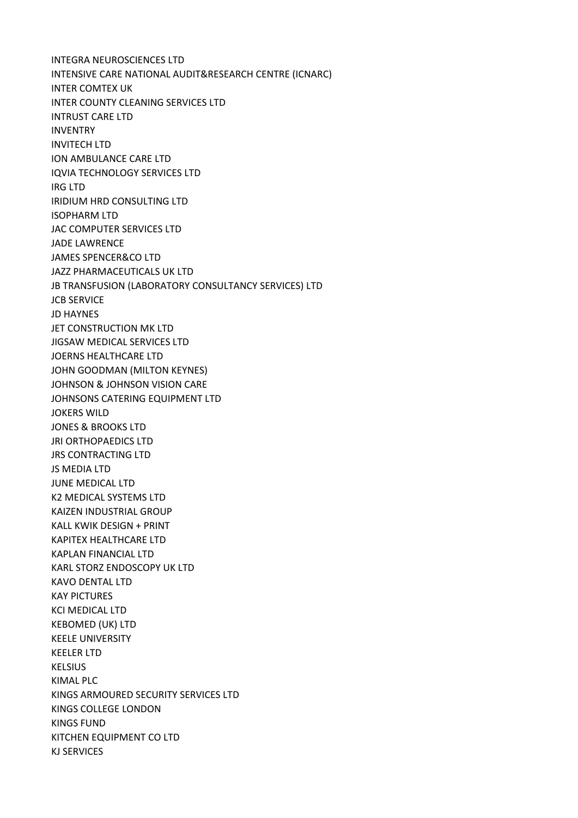INTEGRA NEUROSCIENCES LTD INTENSIVE CARE NATIONAL AUDIT&RESEARCH CENTRE (ICNARC) INTER COMTEX UK INTER COUNTY CLEANING SERVICES LTD INTRUST CARE LTD INVENTRY INVITECH LTD ION AMBULANCE CARE LTD IQVIA TECHNOLOGY SERVICES LTD IRG LTD IRIDIUM HRD CONSULTING LTD ISOPHARM LTD JAC COMPUTER SERVICES LTD JADE LAWRENCE JAMES SPENCER&CO LTD JAZZ PHARMACEUTICALS UK LTD JB TRANSFUSION (LABORATORY CONSULTANCY SERVICES) LTD JCB SERVICE JD HAYNES JET CONSTRUCTION MK LTD JIGSAW MEDICAL SERVICES LTD JOERNS HEALTHCARE LTD JOHN GOODMAN (MILTON KEYNES) JOHNSON & JOHNSON VISION CARE JOHNSONS CATERING EQUIPMENT LTD JOKERS WILD JONES & BROOKS LTD JRI ORTHOPAEDICS LTD JRS CONTRACTING LTD JS MEDIA LTD JUNE MEDICAL LTD K2 MEDICAL SYSTEMS LTD KAIZEN INDUSTRIAL GROUP KALL KWIK DESIGN + PRINT KAPITEX HEALTHCARE LTD KAPLAN FINANCIAL LTD KARL STORZ ENDOSCOPY UK LTD KAVO DENTAL LTD KAY PICTURES KCI MEDICAL LTD KEBOMED (UK) LTD KEELE UNIVERSITY KEELER LTD KELSIUS KIMAL PLC KINGS ARMOURED SECURITY SERVICES LTD KINGS COLLEGE LONDON KINGS FUND KITCHEN EQUIPMENT CO LTD KJ SERVICES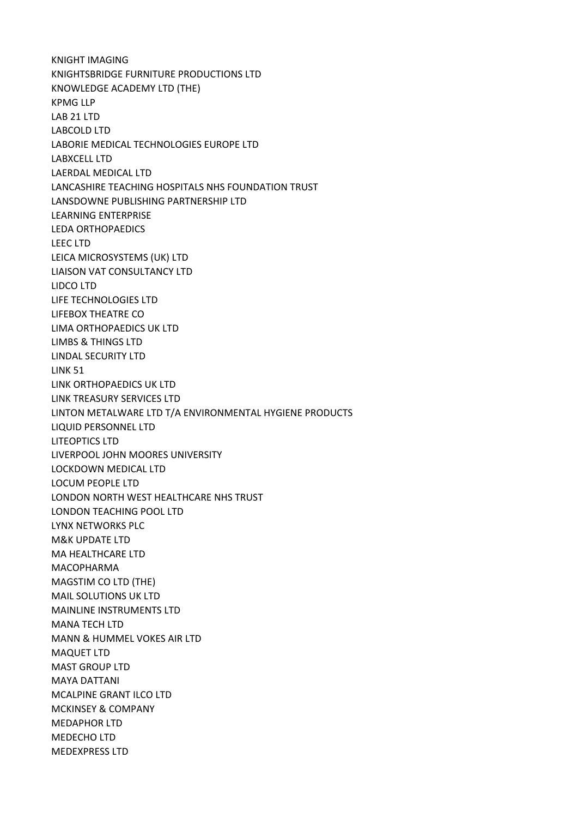KNIGHT IMAGING KNIGHTSBRIDGE FURNITURE PRODUCTIONS LTD KNOWLEDGE ACADEMY LTD (THE) KPMG LLP LAB 21 LTD LABCOLD LTD LABORIE MEDICAL TECHNOLOGIES EUROPE LTD LABXCELL LTD LAERDAL MEDICAL LTD LANCASHIRE TEACHING HOSPITALS NHS FOUNDATION TRUST LANSDOWNE PUBLISHING PARTNERSHIP LTD LEARNING ENTERPRISE LEDA ORTHOPAEDICS LEEC LTD LEICA MICROSYSTEMS (UK) LTD LIAISON VAT CONSULTANCY LTD LIDCO LTD LIFE TECHNOLOGIES LTD LIFEBOX THEATRE CO LIMA ORTHOPAEDICS UK LTD LIMBS & THINGS LTD LINDAL SECURITY LTD LINK 51 LINK ORTHOPAEDICS UK LTD LINK TREASURY SERVICES LTD LINTON METALWARE LTD T/A ENVIRONMENTAL HYGIENE PRODUCTS LIQUID PERSONNEL LTD LITEOPTICS LTD LIVERPOOL JOHN MOORES UNIVERSITY LOCKDOWN MEDICAL LTD LOCUM PEOPLE LTD LONDON NORTH WEST HEALTHCARE NHS TRUST LONDON TEACHING POOL LTD LYNX NETWORKS PLC M&K UPDATE LTD MA HEALTHCARE LTD MACOPHARMA MAGSTIM CO LTD (THE) MAIL SOLUTIONS UK LTD MAINLINE INSTRUMENTS LTD MANA TECH LTD MANN & HUMMEL VOKES AIR LTD MAQUET LTD MAST GROUP LTD MAYA DATTANI MCALPINE GRANT ILCO LTD MCKINSEY & COMPANY MEDAPHOR LTD MEDECHO LTD MEDEXPRESS LTD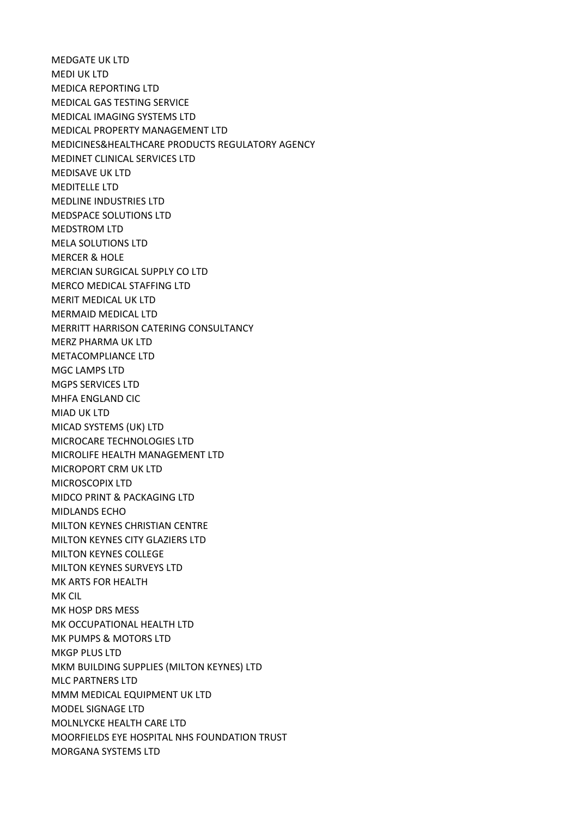MEDGATE UK LTD MEDI UK LTD MEDICA REPORTING LTD MEDICAL GAS TESTING SERVICE MEDICAL IMAGING SYSTEMS LTD MEDICAL PROPERTY MANAGEMENT LTD MEDICINES&HEALTHCARE PRODUCTS REGULATORY AGENCY MEDINET CLINICAL SERVICES LTD MEDISAVE UK LTD MEDITELLE LTD MEDLINE INDUSTRIES LTD MEDSPACE SOLUTIONS LTD MEDSTROM LTD MELA SOLUTIONS LTD MERCER & HOLE MERCIAN SURGICAL SUPPLY CO LTD MERCO MEDICAL STAFFING LTD MERIT MEDICAL UK LTD MERMAID MEDICAL LTD MERRITT HARRISON CATERING CONSULTANCY MERZ PHARMA UK LTD METACOMPLIANCE LTD MGC LAMPS LTD MGPS SERVICES LTD MHFA ENGLAND CIC MIAD UK LTD MICAD SYSTEMS (UK) LTD MICROCARE TECHNOLOGIES LTD MICROLIFE HEALTH MANAGEMENT LTD MICROPORT CRM UK LTD MICROSCOPIX LTD MIDCO PRINT & PACKAGING LTD MIDLANDS ECHO MILTON KEYNES CHRISTIAN CENTRE MILTON KEYNES CITY GLAZIERS LTD MILTON KEYNES COLLEGE MILTON KEYNES SURVEYS LTD MK ARTS FOR HEALTH MK CIL MK HOSP DRS MESS MK OCCUPATIONAL HEALTH LTD MK PUMPS & MOTORS LTD MKGP PLUS LTD MKM BUILDING SUPPLIES (MILTON KEYNES) LTD MLC PARTNERS LTD MMM MEDICAL EQUIPMENT UK LTD MODEL SIGNAGE LTD MOLNLYCKE HEALTH CARE LTD MOORFIELDS EYE HOSPITAL NHS FOUNDATION TRUST MORGANA SYSTEMS LTD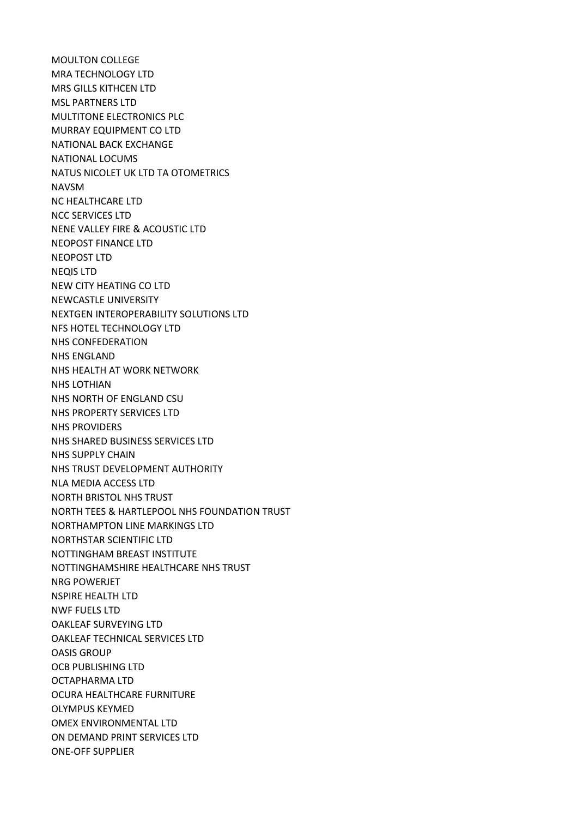MOULTON COLLEGE MRA TECHNOLOGY LTD MRS GILLS KITHCEN LTD MSL PARTNERS LTD MULTITONE ELECTRONICS PLC MURRAY EQUIPMENT CO LTD NATIONAL BACK EXCHANGE NATIONAL LOCUMS NATUS NICOLET UK LTD TA OTOMETRICS NAVSM NC HEALTHCARE LTD NCC SERVICES LTD NENE VALLEY FIRE & ACOUSTIC LTD NEOPOST FINANCE LTD NEOPOST LTD NEQIS LTD NEW CITY HEATING CO LTD NEWCASTLE UNIVERSITY NEXTGEN INTEROPERABILITY SOLUTIONS LTD NFS HOTEL TECHNOLOGY LTD NHS CONFEDERATION NHS ENGLAND NHS HEALTH AT WORK NETWORK NHS LOTHIAN NHS NORTH OF ENGLAND CSU NHS PROPERTY SERVICES LTD NHS PROVIDERS NHS SHARED BUSINESS SERVICES LTD NHS SUPPLY CHAIN NHS TRUST DEVELOPMENT AUTHORITY NLA MEDIA ACCESS LTD NORTH BRISTOL NHS TRUST NORTH TEES & HARTLEPOOL NHS FOUNDATION TRUST NORTHAMPTON LINE MARKINGS LTD NORTHSTAR SCIENTIFIC LTD NOTTINGHAM BREAST INSTITUTE NOTTINGHAMSHIRE HEALTHCARE NHS TRUST NRG POWERJET NSPIRE HEALTH LTD NWF FUELS LTD OAKLEAF SURVEYING LTD OAKLEAF TECHNICAL SERVICES LTD OASIS GROUP OCB PUBLISHING LTD OCTAPHARMA LTD OCURA HEALTHCARE FURNITURE OLYMPUS KEYMED OMEX ENVIRONMENTAL LTD ON DEMAND PRINT SERVICES LTD ONE-OFF SUPPLIER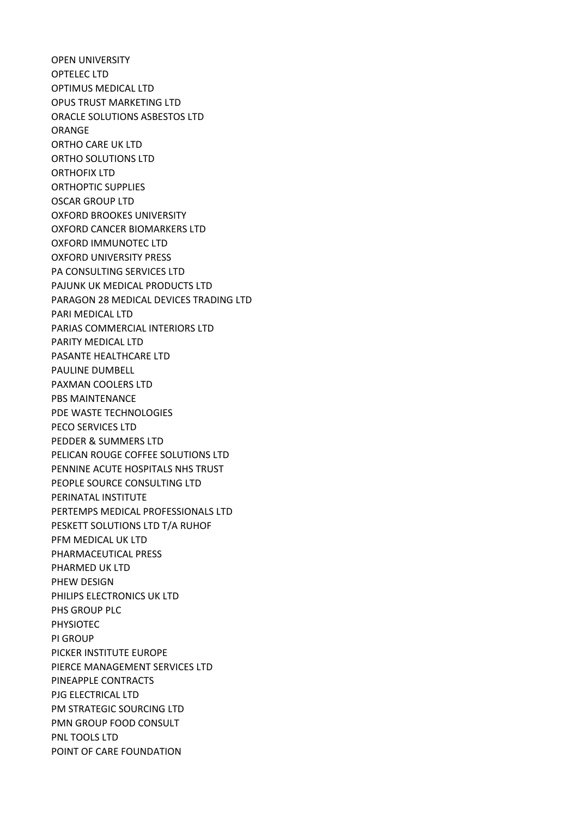OPEN UNIVERSITY OPTELEC LTD OPTIMUS MEDICAL LTD OPUS TRUST MARKETING LTD ORACLE SOLUTIONS ASBESTOS LTD ORANGE ORTHO CARE UK LTD ORTHO SOLUTIONS LTD ORTHOFIX LTD ORTHOPTIC SUPPLIES OSCAR GROUP LTD OXFORD BROOKES UNIVERSITY OXFORD CANCER BIOMARKERS LTD OXFORD IMMUNOTEC LTD OXFORD UNIVERSITY PRESS PA CONSULTING SERVICES LTD PAJUNK UK MEDICAL PRODUCTS LTD PARAGON 28 MEDICAL DEVICES TRADING LTD PARI MEDICAL LTD PARIAS COMMERCIAL INTERIORS LTD PARITY MEDICAL LTD PASANTE HEALTHCARE LTD PAULINE DUMBELL PAXMAN COOLERS LTD PBS MAINTENANCE PDE WASTE TECHNOLOGIES PECO SERVICES LTD PEDDER & SUMMERS LTD PELICAN ROUGE COFFEE SOLUTIONS LTD PENNINE ACUTE HOSPITALS NHS TRUST PEOPLE SOURCE CONSULTING LTD PERINATAL INSTITUTE PERTEMPS MEDICAL PROFESSIONALS LTD PESKETT SOLUTIONS LTD T/A RUHOF PFM MEDICAL UK LTD PHARMACEUTICAL PRESS PHARMED UK LTD PHEW DESIGN PHILIPS ELECTRONICS UK LTD PHS GROUP PLC PHYSIOTEC PI GROUP PICKER INSTITUTE EUROPE PIERCE MANAGEMENT SERVICES LTD PINEAPPLE CONTRACTS PJG ELECTRICAL LTD PM STRATEGIC SOURCING LTD PMN GROUP FOOD CONSULT PNL TOOLS LTD POINT OF CARE FOUNDATION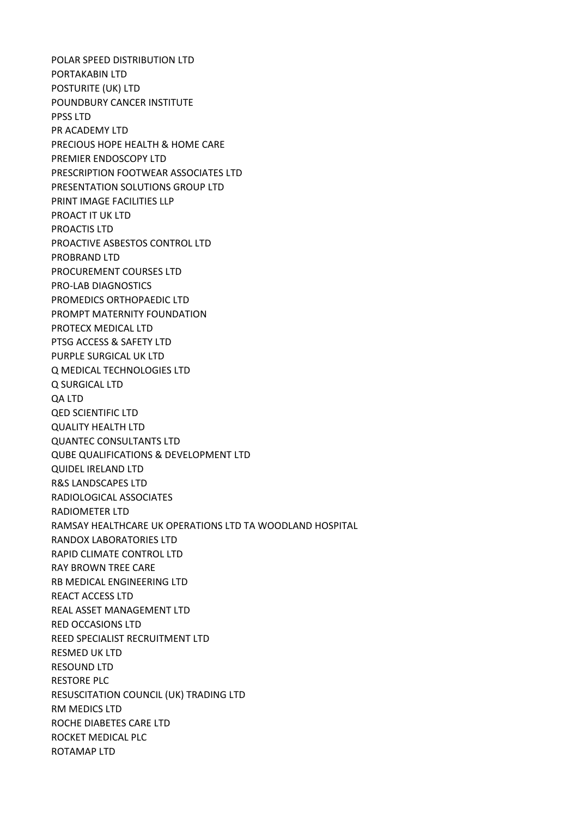POLAR SPEED DISTRIBUTION LTD PORTAKABIN LTD POSTURITE (UK) LTD POUNDBURY CANCER INSTITUTE PPSS LTD PR ACADEMY LTD PRECIOUS HOPE HEALTH & HOME CARE PREMIER ENDOSCOPY LTD PRESCRIPTION FOOTWEAR ASSOCIATES LTD PRESENTATION SOLUTIONS GROUP LTD PRINT IMAGE FACILITIES LLP PROACT IT UK LTD PROACTIS LTD PROACTIVE ASBESTOS CONTROL LTD PROBRAND LTD PROCUREMENT COURSES LTD PRO-LAB DIAGNOSTICS PROMEDICS ORTHOPAEDIC LTD PROMPT MATERNITY FOUNDATION PROTECX MEDICAL LTD PTSG ACCESS & SAFETY LTD PURPLE SURGICAL UK LTD Q MEDICAL TECHNOLOGIES LTD Q SURGICAL LTD QA LTD QED SCIENTIFIC LTD QUALITY HEALTH LTD QUANTEC CONSULTANTS LTD QUBE QUALIFICATIONS & DEVELOPMENT LTD QUIDEL IRELAND LTD R&S LANDSCAPES LTD RADIOLOGICAL ASSOCIATES RADIOMETER LTD RAMSAY HEALTHCARE UK OPERATIONS LTD TA WOODLAND HOSPITAL RANDOX LABORATORIES LTD RAPID CLIMATE CONTROL LTD RAY BROWN TREE CARE RB MEDICAL ENGINEERING LTD REACT ACCESS LTD REAL ASSET MANAGEMENT LTD RED OCCASIONS LTD REED SPECIALIST RECRUITMENT LTD RESMED UK LTD RESOUND LTD RESTORE PLC RESUSCITATION COUNCIL (UK) TRADING LTD RM MEDICS LTD ROCHE DIABETES CARE LTD ROCKET MEDICAL PLC ROTAMAP LTD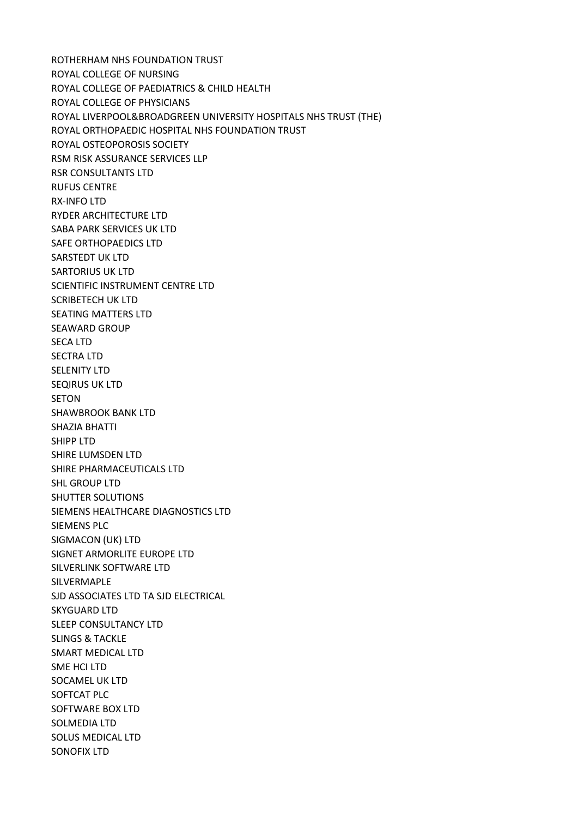ROTHERHAM NHS FOUNDATION TRUST ROYAL COLLEGE OF NURSING ROYAL COLLEGE OF PAEDIATRICS & CHILD HEALTH ROYAL COLLEGE OF PHYSICIANS ROYAL LIVERPOOL&BROADGREEN UNIVERSITY HOSPITALS NHS TRUST (THE) ROYAL ORTHOPAEDIC HOSPITAL NHS FOUNDATION TRUST ROYAL OSTEOPOROSIS SOCIETY RSM RISK ASSURANCE SERVICES LLP RSR CONSULTANTS LTD RUFUS CENTRE RX-INFO LTD RYDER ARCHITECTURE LTD SABA PARK SERVICES UK LTD SAFE ORTHOPAEDICS LTD SARSTEDT UK LTD SARTORIUS UK LTD SCIENTIFIC INSTRUMENT CENTRE LTD SCRIBETECH UK LTD SEATING MATTERS LTD SEAWARD GROUP SECA LTD SECTRA LTD SELENITY LTD SEQIRUS UK LTD **SETON** SHAWBROOK BANK LTD SHAZIA BHATTI SHIPP LTD SHIRE LUMSDEN LTD SHIRE PHARMACEUTICALS LTD SHL GROUP LTD SHUTTER SOLUTIONS SIEMENS HEALTHCARE DIAGNOSTICS LTD SIEMENS PLC SIGMACON (UK) LTD SIGNET ARMORLITE EUROPE LTD SILVERLINK SOFTWARE LTD SILVERMAPLE SJD ASSOCIATES LTD TA SJD ELECTRICAL SKYGUARD LTD SLEEP CONSULTANCY LTD SLINGS & TACKLE SMART MEDICAL LTD SME HCI LTD SOCAMEL UK LTD SOFTCAT PLC SOFTWARE BOX LTD SOLMEDIA LTD SOLUS MEDICAL LTD SONOFIX LTD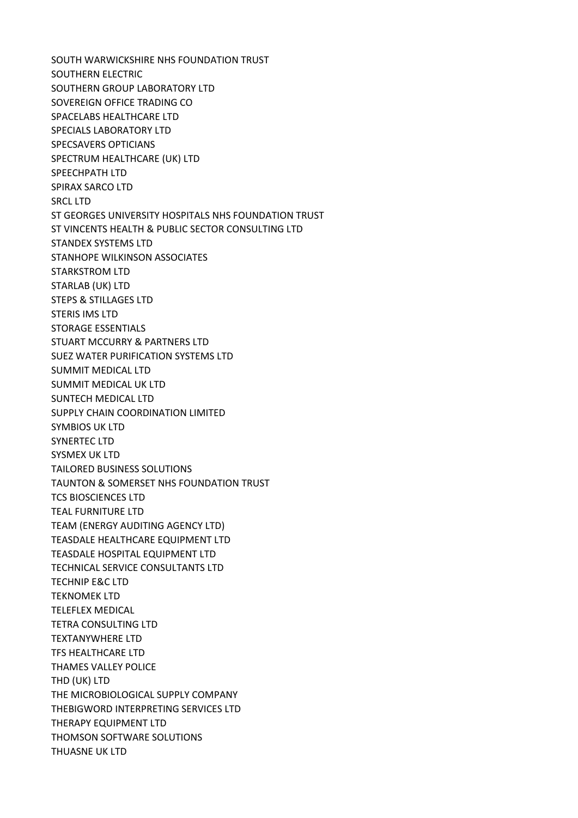SOUTH WARWICKSHIRE NHS FOUNDATION TRUST SOUTHERN ELECTRIC SOUTHERN GROUP LABORATORY LTD SOVEREIGN OFFICE TRADING CO SPACELABS HEALTHCARE LTD SPECIALS LABORATORY LTD SPECSAVERS OPTICIANS SPECTRUM HEALTHCARE (UK) LTD SPEECHPATH LTD SPIRAX SARCO LTD SRCL LTD ST GEORGES UNIVERSITY HOSPITALS NHS FOUNDATION TRUST ST VINCENTS HEALTH & PUBLIC SECTOR CONSULTING LTD STANDEX SYSTEMS LTD STANHOPE WILKINSON ASSOCIATES STARKSTROM LTD STARLAB (UK) LTD STEPS & STILLAGES LTD STERIS IMS LTD STORAGE ESSENTIALS STUART MCCURRY & PARTNERS LTD SUEZ WATER PURIFICATION SYSTEMS LTD SUMMIT MEDICAL LTD SUMMIT MEDICAL UK LTD SUNTECH MEDICAL LTD SUPPLY CHAIN COORDINATION LIMITED SYMBIOS UK LTD SYNERTEC LTD SYSMEX UK LTD TAILORED BUSINESS SOLUTIONS TAUNTON & SOMERSET NHS FOUNDATION TRUST TCS BIOSCIENCES LTD TEAL FURNITURE LTD TEAM (ENERGY AUDITING AGENCY LTD) TEASDALE HEALTHCARE EQUIPMENT LTD TEASDALE HOSPITAL EQUIPMENT LTD TECHNICAL SERVICE CONSULTANTS LTD TECHNIP E&C LTD TEKNOMEK LTD TELEFLEX MEDICAL TETRA CONSULTING LTD TEXTANYWHERE LTD TFS HEALTHCARE LTD THAMES VALLEY POLICE THD (UK) LTD THE MICROBIOLOGICAL SUPPLY COMPANY THEBIGWORD INTERPRETING SERVICES LTD THERAPY EQUIPMENT LTD THOMSON SOFTWARE SOLUTIONS THUASNE UK LTD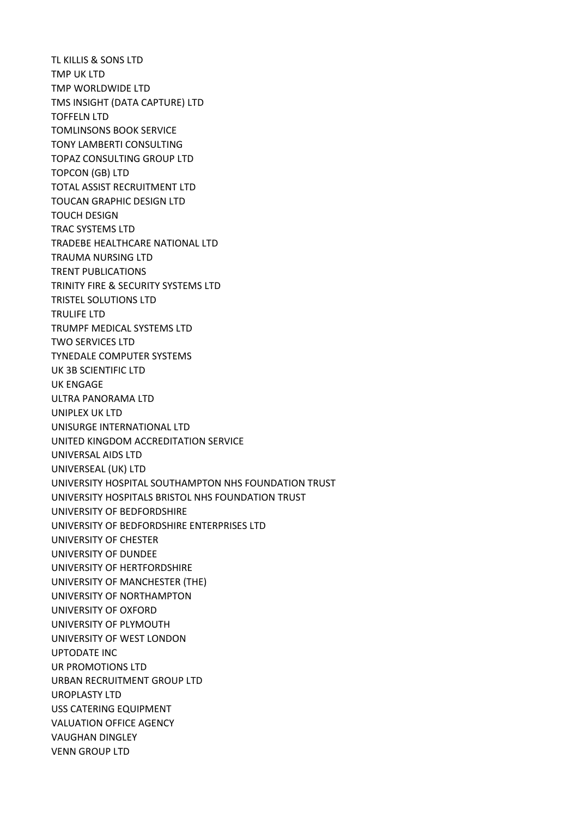TL KILLIS & SONS LTD TMP UK LTD TMP WORLDWIDE LTD TMS INSIGHT (DATA CAPTURE) LTD TOFFELN LTD TOMLINSONS BOOK SERVICE TONY LAMBERTI CONSULTING TOPAZ CONSULTING GROUP LTD TOPCON (GB) LTD TOTAL ASSIST RECRUITMENT LTD TOUCAN GRAPHIC DESIGN LTD TOUCH DESIGN TRAC SYSTEMS LTD TRADEBE HEALTHCARE NATIONAL LTD TRAUMA NURSING LTD TRENT PUBLICATIONS TRINITY FIRE & SECURITY SYSTEMS LTD TRISTEL SOLUTIONS LTD TRULIFE LTD TRUMPF MEDICAL SYSTEMS LTD TWO SERVICES LTD TYNEDALE COMPUTER SYSTEMS UK 3B SCIENTIFIC LTD UK ENGAGE ULTRA PANORAMA LTD UNIPLEX UK LTD UNISURGE INTERNATIONAL LTD UNITED KINGDOM ACCREDITATION SERVICE UNIVERSAL AIDS LTD UNIVERSEAL (UK) LTD UNIVERSITY HOSPITAL SOUTHAMPTON NHS FOUNDATION TRUST UNIVERSITY HOSPITALS BRISTOL NHS FOUNDATION TRUST UNIVERSITY OF BEDFORDSHIRE UNIVERSITY OF BEDFORDSHIRE ENTERPRISES LTD UNIVERSITY OF CHESTER UNIVERSITY OF DUNDEE UNIVERSITY OF HERTFORDSHIRE UNIVERSITY OF MANCHESTER (THE) UNIVERSITY OF NORTHAMPTON UNIVERSITY OF OXFORD UNIVERSITY OF PLYMOUTH UNIVERSITY OF WEST LONDON UPTODATE INC UR PROMOTIONS LTD URBAN RECRUITMENT GROUP LTD UROPLASTY LTD USS CATERING EQUIPMENT VALUATION OFFICE AGENCY VAUGHAN DINGLEY VENN GROUP LTD